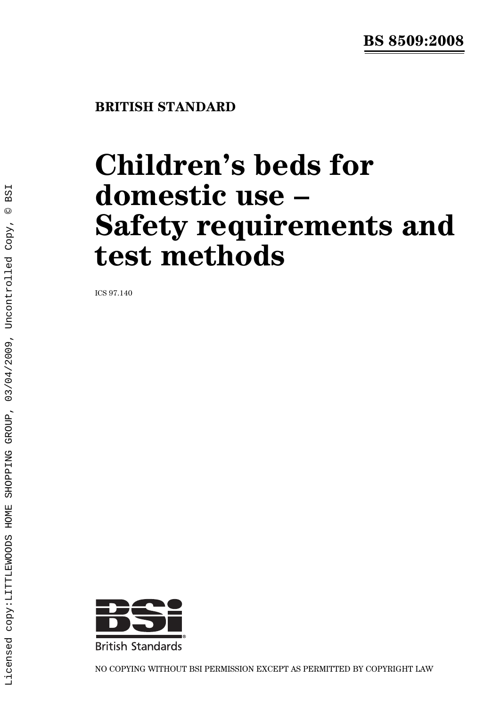**BRITISH STANDARD**

# **Children's beds for domestic use – Safety requirements and test methods**

ICS 97.140



NO COPYING WITHOUT BSI PERMISSION EXCEPT AS PERMITTED BY COPYRIGHT LAW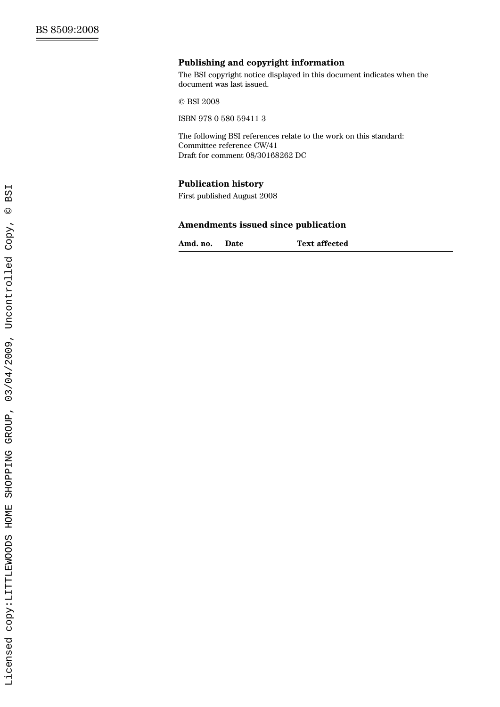$\blacksquare$ 

#### **Publishing and copyright information**

The BSI copyright notice displayed in this document indicates when the document was last issued.

© BSI 2008

ISBN 978 0 580 59411 3

The following BSI references relate to the work on this standard: Committee reference CW/41 Draft for comment 08/30168262 DC

#### **Publication history**

First published August 2008

### **Amendments issued since publication**

Amd. no. Date Text affected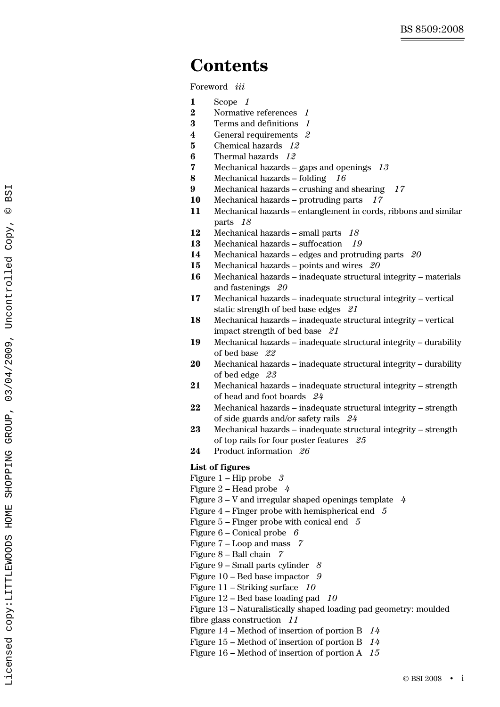## **Contents**

Foreword *iii*

- **1** [Scope](#page-6-0)  *1*
- **2** [Normative references](#page-6-1)  *1*
- **3** Terms and definitions *[1](#page-6-2)*
- **4** [General requirements](#page-7-0)  *2*
- **5** [Chemical hazards](#page-17-0) *12*
- **6** [Thermal hazards](#page-17-1) *12*
- **7** [Mechanical hazards gaps and openings](#page-18-0) *13*
- **8** [Mechanical hazards folding](#page-21-0) *16*
- **9** [Mechanical hazards crushing and shearing](#page-22-0) *17*
- **10** [Mechanical hazards protruding parts](#page-22-1) *17*
- **11** [Mechanical hazards entanglement in cords, ribbons and similar](#page-23-0)  [parts](#page-23-0) *18*
- **12** [Mechanical hazards small parts](#page-23-1) *18*
- **13** [Mechanical hazards suffocation](#page-24-0) *19*
- **14** [Mechanical hazards edges and protruding parts](#page-25-0) *20*
- **15** [Mechanical hazards points and wires](#page-25-1) *20*
- **16** [Mechanical hazards inadequate structural integrity materials](#page-25-2)  [and fastenings](#page-25-2) *20*
- **17** [Mechanical hazards inadequate structural integrity vertical](#page-26-0)  [static strength of bed base edges](#page-26-0) *21*
- **18** [Mechanical hazards inadequate structural integrity vertical](#page-26-1)  [impact strength of bed base](#page-26-1) *21*
- **19** [Mechanical hazards inadequate structural integrity durability](#page-27-0)  [of bed base](#page-27-0) *22*
- **20** [Mechanical hazards inadequate structural integrity durability](#page-28-0)  [of bed edge](#page-28-0) *23*
- **21** [Mechanical hazards inadequate structural integrity strength](#page-29-0)  [of head and foot boards](#page-29-0) *24*
- **22** [Mechanical hazards inadequate structural integrity strength](#page-29-1)  [of side guards and/or safety rails](#page-29-1) *24*
- **23** [Mechanical hazards inadequate structural integrity strength](#page-30-0)  [of top rails for four poster features](#page-30-0) *25*
- **24** [Product information](#page-31-0) *26*

#### **List of figures**

- [Figure 1 Hip probe](#page-8-0)  *3*
- [Figure 2 Head probe](#page-9-0)  *4*
- [Figure 3 V and irregular shaped openings template](#page-9-1)  *4*
- [Figure 4 Finger probe with hemispherical end](#page-10-0)  *5*
- [Figure 5 Finger probe with conical end](#page-10-1)  *5*
- [Figure 6 Conical probe](#page-11-0)  *6*
- [Figure 7 Loop and mass](#page-12-0)  *7*
- [Figure 8 Ball chain](#page-12-1)  *7*
- [Figure 9 Small parts cylinder](#page-13-0)  *8*
- [Figure 10 Bed base impactor](#page-14-0)  *9*
- [Figure 11 Striking surface](#page-15-0) *10*
- [Figure 12 Bed base loading pad](#page-15-1) *10*
- [Figure 13 Naturalistically shaped loading pad geometry: moulded](#page-16-0)
- [fibre glass construction](#page-16-0) *11*
- [Figure 14 Method of insertion of portion B](#page-19-0) *14*
- [Figure 15 Method of insertion of portion B](#page-19-1) *14*
- [Figure 16 Method of insertion of portion A](#page-20-0) *15*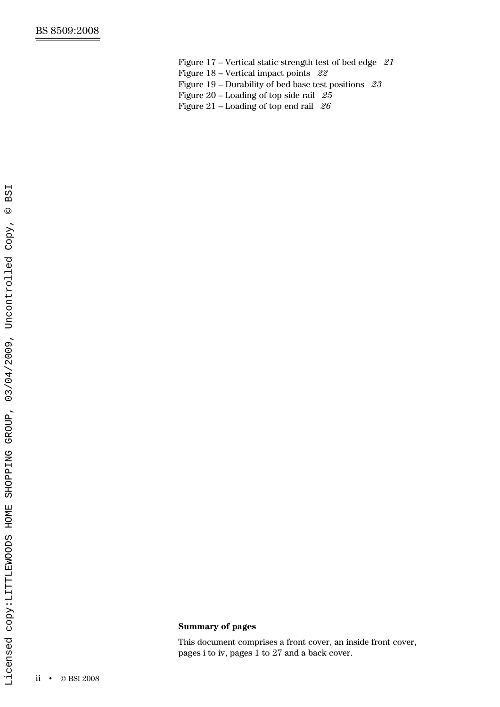- [Figure 17 Vertical static strength test of bed edge](#page-26-2) *21*
- [Figure 18 Vertical impact points](#page-27-1) *22*
- [Figure 19 Durability of bed base test positions](#page-28-1) *23*
- [Figure 20 Loading of top side rail](#page-30-1) *25*
- [Figure 21 Loading of top end rail](#page-31-1) *26*

#### **Summary of pages**

This document comprises a front cover, an inside front cover, pages i to iv, pages 1 to 27 and a back cover.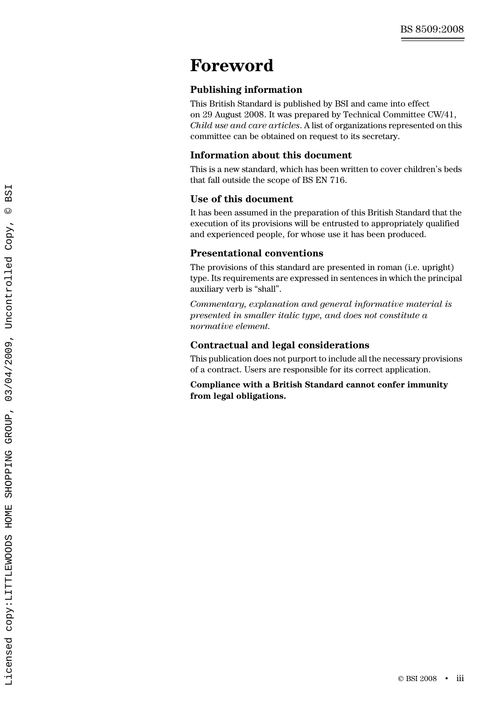## **Foreword**

### **Publishing information**

This British Standard is published by BSI and came into effect on 29 August 2008. It was prepared by Technical Committee CW/41, *Child use and care articles*. A list of organizations represented on this committee can be obtained on request to its secretary.

### **Information about this document**

This is a new standard, which has been written to cover children's beds that fall outside the scope of BS EN 716.

### **Use of this document**

It has been assumed in the preparation of this British Standard that the execution of its provisions will be entrusted to appropriately qualified and experienced people, for whose use it has been produced.

#### **Presentational conventions**

The provisions of this standard are presented in roman (i.e. upright) type. Its requirements are expressed in sentences in which the principal auxiliary verb is "shall".

*Commentary, explanation and general informative material is presented in smaller italic type, and does not constitute a normative element.*

### **Contractual and legal considerations**

This publication does not purport to include all the necessary provisions of a contract. Users are responsible for its correct application.

**Compliance with a British Standard cannot confer immunity from legal obligations.**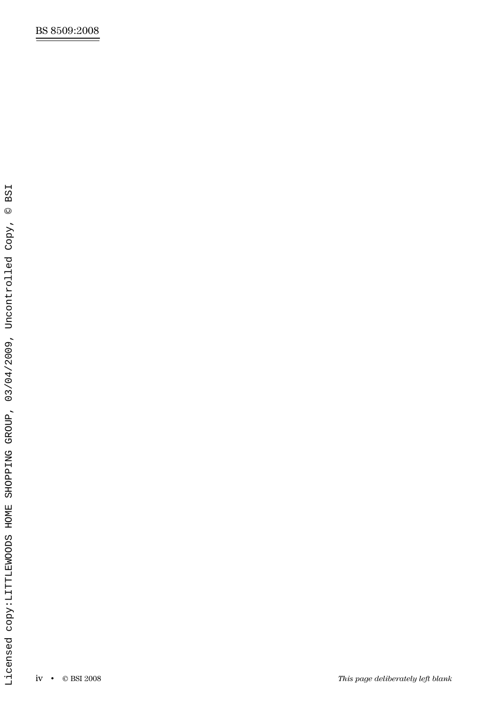BS 8509:2008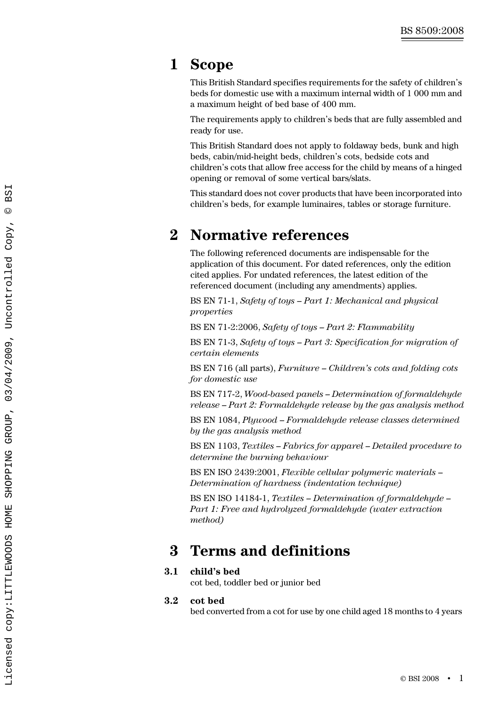## <span id="page-6-0"></span>**1 Scope**

This British Standard specifies requirements for the safety of children's beds for domestic use with a maximum internal width of 1 000 mm and a maximum height of bed base of 400 mm.

The requirements apply to children's beds that are fully assembled and ready for use.

This British Standard does not apply to foldaway beds, bunk and high beds, cabin/mid-height beds, children's cots, bedside cots and children's cots that allow free access for the child by means of a hinged opening or removal of some vertical bars/slats.

This standard does not cover products that have been incorporated into children's beds, for example luminaires, tables or storage furniture.

## <span id="page-6-1"></span>**2 Normative references**

The following referenced documents are indispensable for the application of this document. For dated references, only the edition cited applies. For undated references, the latest edition of the referenced document (including any amendments) applies.

BS EN 71-1, *Safety of toys – Part 1: Mechanical and physical properties*

BS EN 71-2:2006, *Safety of toys – Part 2: Flammability*

BS EN 71-3, *Safety of toys – Part 3: Specification for migration of certain elements*

BS EN 716 (all parts), *Furniture – Children's cots and folding cots for domestic use*

BS EN 717-2, *Wood-based panels – Determination of formaldehyde release – Part 2: Formaldehyde release by the gas analysis method*

BS EN 1084, *Plywood – Formaldehyde release classes determined by the gas analysis method*

BS EN 1103, *Textiles – Fabrics for apparel – Detailed procedure to determine the burning behaviour*

BS EN ISO 2439:2001, *Flexible cellular polymeric materials – Determination of hardness (indentation technique)*

BS EN ISO 14184-1, *Textiles – Determination of formaldehyde – Part 1: Free and hydrolyzed formaldehyde (water extraction method)*

## **3 Terms and definitions**

#### <span id="page-6-2"></span>**3.1 child's bed**

cot bed, toddler bed or junior bed

#### **3.2 cot bed**

bed converted from a cot for use by one child aged 18 months to 4 years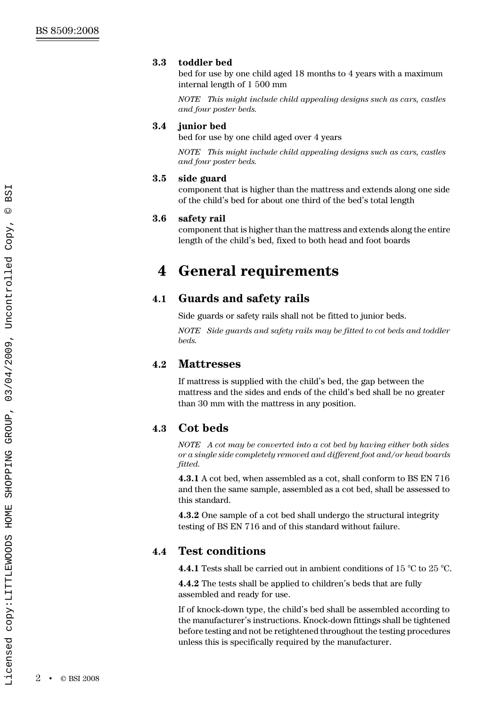#### **3.3 toddler bed**

bed for use by one child aged 18 months to 4 years with a maximum internal length of 1 500 mm

*NOTE This might include child appealing designs such as cars, castles and four poster beds.*

#### **3.4 junior bed**

bed for use by one child aged over 4 years

*NOTE This might include child appealing designs such as cars, castles and four poster beds.*

#### **3.5 side guard**

component that is higher than the mattress and extends along one side of the child's bed for about one third of the bed's total length

#### **3.6 safety rail**

component that is higher than the mattress and extends along the entire length of the child's bed, fixed to both head and foot boards

## <span id="page-7-0"></span>**4 General requirements**

### **4.1 Guards and safety rails**

Side guards or safety rails shall not be fitted to junior beds.

*NOTE Side guards and safety rails may be fitted to cot beds and toddler beds.*

### **4.2 Mattresses**

If mattress is supplied with the child's bed, the gap between the mattress and the sides and ends of the child's bed shall be no greater than 30 mm with the mattress in any position.

## **4.3 Cot beds**

*NOTE A cot may be converted into a cot bed by having either both sides or a single side completely removed and different foot and/or head boards fitted.*

**4.3.1** A cot bed, when assembled as a cot, shall conform to BS EN 716 and then the same sample, assembled as a cot bed, shall be assessed to this standard.

**4.3.2** One sample of a cot bed shall undergo the structural integrity testing of BS EN 716 and of this standard without failure.

## **4.4 Test conditions**

**4.4.1** Tests shall be carried out in ambient conditions of 15 °C to 25 °C.

**4.4.2** The tests shall be applied to children's beds that are fully assembled and ready for use.

If of knock-down type, the child's bed shall be assembled according to the manufacturer's instructions. Knock-down fittings shall be tightened before testing and not be retightened throughout the testing procedures unless this is specifically required by the manufacturer.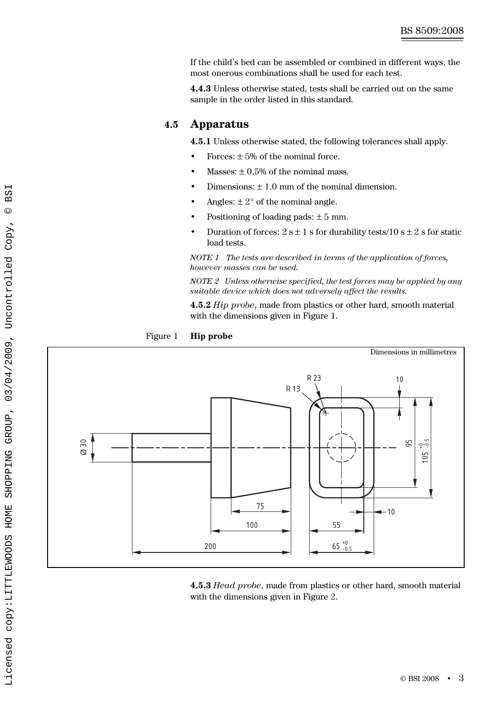If the child's bed can be assembled or combined in different ways, the most onerous combinations shall be used for each test.

**4.4.3** Unless otherwise stated, tests shall be carried out on the same sample in the order listed in this standard.

### **4.5 Apparatus**

**4.5.1** Unless otherwise stated, the following tolerances shall apply.

- Forces:  $\pm 5\%$  of the nominal force.
- Masses:  $\pm 0.5\%$  of the nominal mass.
- Dimensions:  $\pm 1.0$  mm of the nominal dimension.
- Angles:  $\pm 2^{\circ}$  of the nominal angle.
- Positioning of loading pads:  $\pm 5$  mm.
- Duration of forces:  $2 s \pm 1 s$  for durability tests/10  $s \pm 2 s$  for static load tests.

*NOTE 1 The tests are described in terms of the application of forces, however masses can be used.* 

*NOTE 2 Unless otherwise specified, the test forces may be applied by any suitable device which does not adversely affect the results.*

<span id="page-8-1"></span>**4.5.2** *Hip probe*, made from plastics or other hard, smooth material with the dimensions given in [Figure 1.](#page-8-0)

<span id="page-8-0"></span>

<span id="page-8-2"></span>**4.5.3** *Head probe*, made from plastics or other hard, smooth material with the dimensions given in [Figure 2.](#page-9-0)

### © BSI 2008 • 3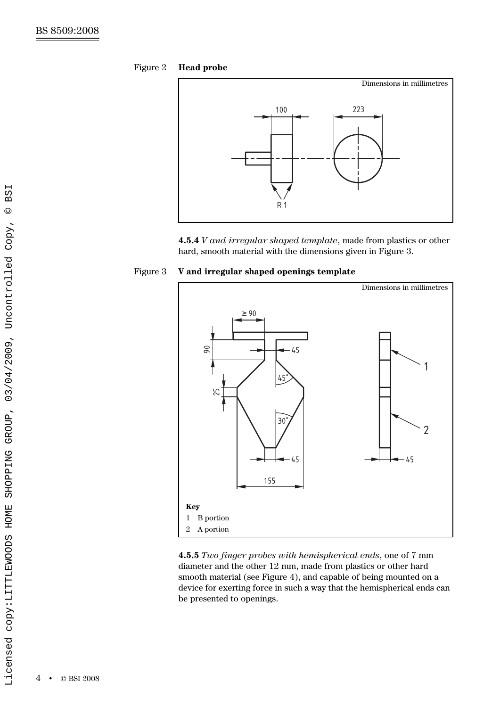#### <span id="page-9-0"></span>Figure 2 **Head probe**



<span id="page-9-2"></span>**4.5.4** *V and irregular shaped template*, made from plastics or other hard, smooth material with the dimensions given in [Figure 3](#page-9-1).

#### <span id="page-9-1"></span>Figure 3 **V and irregular shaped openings template**



<span id="page-9-3"></span>**4.5.5** *Two finger probes with hemispherical ends*, one of 7 mm diameter and the other 12 mm, made from plastics or other hard smooth material (see [Figure 4\)](#page-10-0), and capable of being mounted on a device for exerting force in such a way that the hemispherical ends can be presented to openings.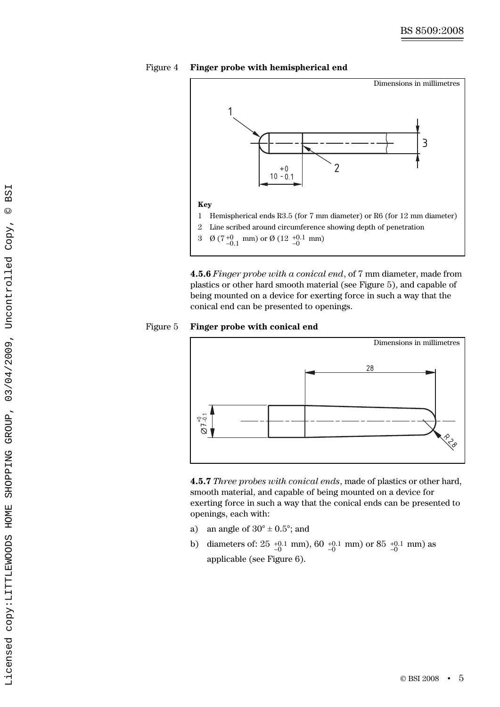<span id="page-10-0"></span>Figure 4 **Finger probe with hemispherical end**



<span id="page-10-2"></span>**4.5.6** *Finger probe with a conical end*, of 7 mm diameter, made from plastics or other hard smooth material (see [Figure 5\)](#page-10-1), and capable of being mounted on a device for exerting force in such a way that the conical end can be presented to openings.

<span id="page-10-1"></span>Figure 5 **Finger probe with conical end**



<span id="page-10-3"></span>**4.5.7** *Three probes with conical ends*, made of plastics or other hard, smooth material, and capable of being mounted on a device for exerting force in such a way that the conical ends can be presented to openings, each with:

- a) an angle of  $30^\circ \pm 0.5^\circ$ ; and
- b) diameters of:  $25 \frac{+0.1}{-0}$  mm),  $60 \frac{+0.1}{-0}$  mm) or  $85 \frac{+0.1}{-0}$  mm) as applicable (see [Figure 6](#page-11-0)).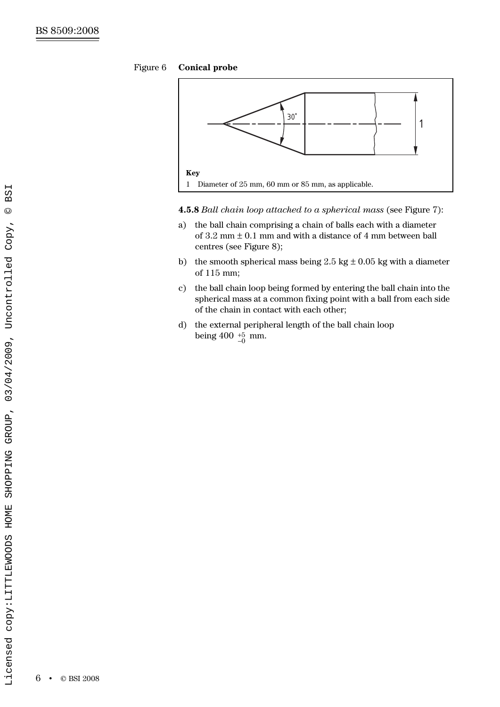<span id="page-11-0"></span>



<span id="page-11-1"></span>**4.5.8** *Ball chain loop attached to a spherical mass* (see [Figure 7](#page-12-0)):

- a) the ball chain comprising a chain of balls each with a diameter of  $3.2$  mm  $\pm$  0.1 mm and with a distance of 4 mm between ball centres (see [Figure 8\)](#page-12-1);
- b) the smooth spherical mass being  $2.5 \text{ kg} \pm 0.05 \text{ kg}$  with a diameter of 115 mm;
- c) the ball chain loop being formed by entering the ball chain into the spherical mass at a common fixing point with a ball from each side of the chain in contact with each other;
- d) the external peripheral length of the ball chain loop being  $400^{+5}_{-0}$  mm.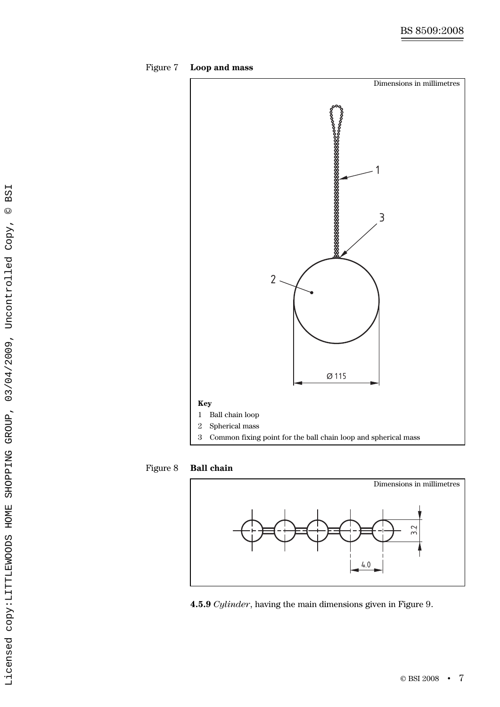### BS 8509:2008

<span id="page-12-0"></span>Figure 7 **Loop and mass**



<span id="page-12-1"></span>Figure 8 **Ball chain**



<span id="page-12-2"></span>**4.5.9** *Cylinder*, having the main dimensions given in [Figure 9](#page-13-0).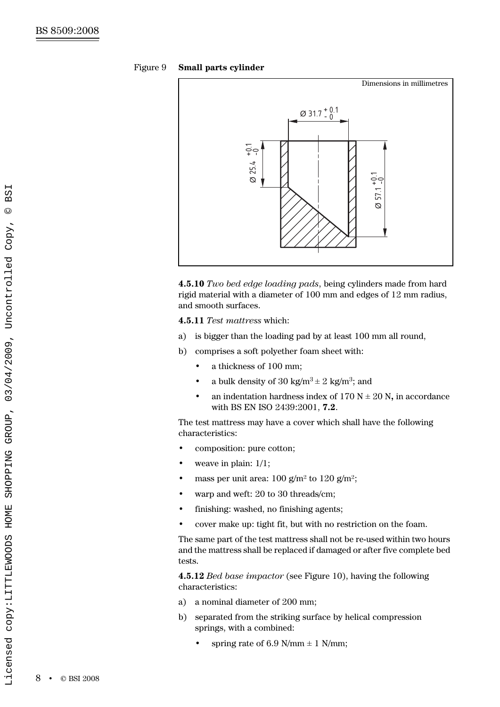<span id="page-13-0"></span>Figure 9 **Small parts cylinder**



<span id="page-13-1"></span>**4.5.10** *Two bed edge loading pads*, being cylinders made from hard rigid material with a diameter of 100 mm and edges of 12 mm radius, and smooth surfaces.

<span id="page-13-2"></span>**4.5.11** *Test mattress* which:

- a) is bigger than the loading pad by at least 100 mm all round,
- b) comprises a soft polyether foam sheet with:
	- a thickness of 100 mm:
	- a bulk density of 30 kg/m<sup>3</sup>  $\pm$  2 kg/m<sup>3</sup>; and
	- an indentation hardness index of  $170 N \pm 20 N$ , in accordance with BS EN ISO 2439:2001, **7.2**.

The test mattress may have a cover which shall have the following characteristics:

- composition: pure cotton;
- weave in plain:  $1/1$ ;
- mass per unit area:  $100 \text{ g/m}^2$  to  $120 \text{ g/m}^2$ ;
- warp and weft: 20 to 30 threads/cm;
- finishing: washed, no finishing agents;
- cover make up: tight fit, but with no restriction on the foam.

The same part of the test mattress shall not be re-used within two hours and the mattress shall be replaced if damaged or after five complete bed tests.

<span id="page-13-3"></span>**4.5.12** *Bed base impactor* (see [Figure 10\)](#page-14-0), having the following characteristics:

- a) a nominal diameter of 200 mm;
- b) separated from the striking surface by helical compression springs, with a combined:
	- spring rate of 6.9 N/mm  $\pm$  1 N/mm;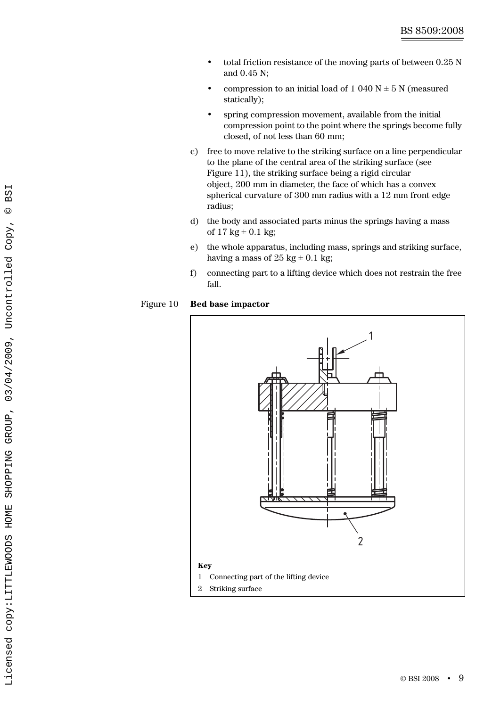- total friction resistance of the moving parts of between 0.25 N and 0.45 N;
- compression to an initial load of  $1\,040$  N  $\pm$  5 N (measured statically);
- spring compression movement, available from the initial compression point to the point where the springs become fully closed, of not less than 60 mm;
- c) free to move relative to the striking surface on a line perpendicular to the plane of the central area of the striking surface (see [Figure 11](#page-15-0)), the striking surface being a rigid circular object, 200 mm in diameter, the face of which has a convex spherical curvature of 300 mm radius with a 12 mm front edge radius;
- d) the body and associated parts minus the springs having a mass of  $17 \text{ kg} \pm 0.1 \text{ kg}$ ;
- e) the whole apparatus, including mass, springs and striking surface, having a mass of  $25 \text{ kg} \pm 0.1 \text{ kg}$ ;
- f) connecting part to a lifting device which does not restrain the free fall.

#### <span id="page-14-0"></span>Figure 10 **Bed base impactor**

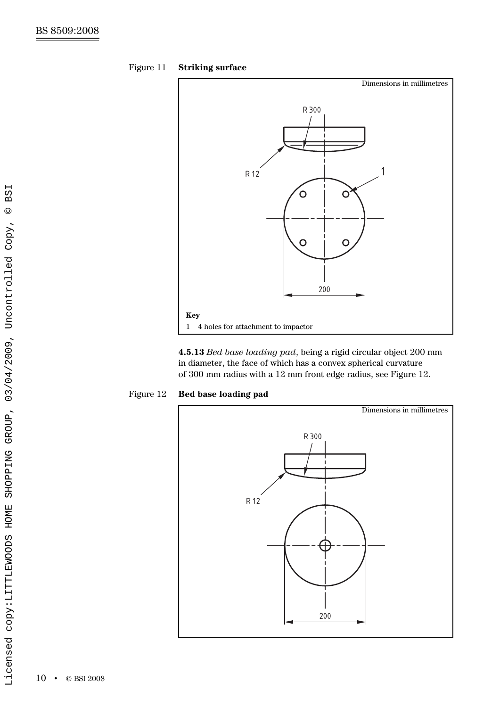#### <span id="page-15-0"></span>Figure 11 **Striking surface**



<span id="page-15-2"></span>**4.5.13** *Bed base loading pad*, being a rigid circular object 200 mm in diameter, the face of which has a convex spherical curvature of 300 mm radius with a 12 mm front edge radius, see [Figure 12](#page-15-1).

<span id="page-15-1"></span>Figure 12 **Bed base loading pad**

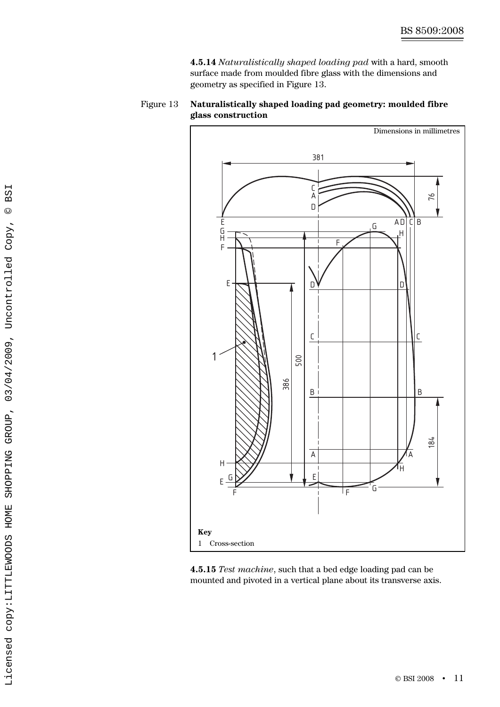<span id="page-16-1"></span>**4.5.14** *Naturalistically shaped loading pad* with a hard, smooth surface made from moulded fibre glass with the dimensions and geometry as specified in [Figure 13](#page-16-0).



<span id="page-16-0"></span>

**4.5.15** *Test machine*, such that a bed edge loading pad can be mounted and pivoted in a vertical plane about its transverse axis.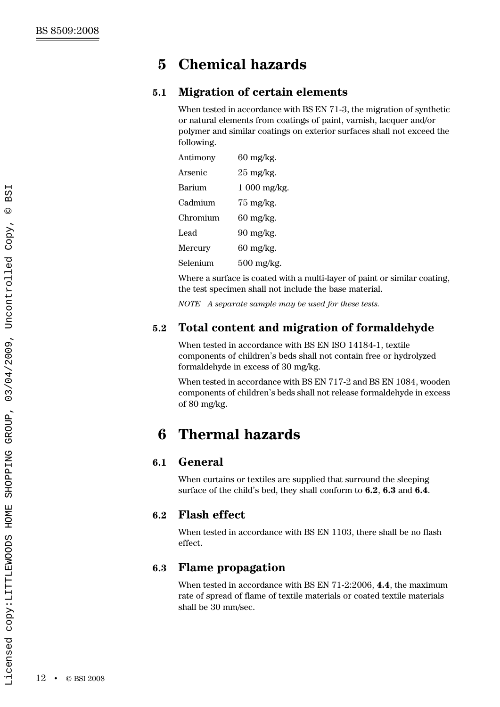## **5 Chemical hazards**

## <span id="page-17-0"></span>**5.1 Migration of certain elements**

When tested in accordance with BS EN 71-3, the migration of synthetic or natural elements from coatings of paint, varnish, lacquer and/or polymer and similar coatings on exterior surfaces shall not exceed the following.

| Antimony | 60 mg/kg.    |
|----------|--------------|
| Arsenic  | 25 mg/kg.    |
| Barium   | 1 000 mg/kg. |
| Cadmium  | 75 mg/kg.    |
| Chromium | 60 mg/kg.    |
| Lead     | 90 mg/kg.    |
| Mercury  | 60 mg/kg.    |
| Selenium | 500 mg/kg.   |

Where a surface is coated with a multi-layer of paint or similar coating, the test specimen shall not include the base material.

*NOTE A separate sample may be used for these tests.*

## **5.2 Total content and migration of formaldehyde**

When tested in accordance with BS EN ISO 14184-1, textile components of children's beds shall not contain free or hydrolyzed formaldehyde in excess of 30 mg/kg.

When tested in accordance with BS EN 717-2 and BS EN 1084, wooden components of children's beds shall not release formaldehyde in excess of 80 mg/kg.

## <span id="page-17-1"></span>**6 Thermal hazards**

## **6.1 General**

When curtains or textiles are supplied that surround the sleeping surface of the child's bed, they shall conform to **[6.2](#page-17-2)**, **[6.3](#page-17-3)** and **[6.4](#page-18-1)**.

## <span id="page-17-2"></span>**6.2 Flash effect**

When tested in accordance with BS EN 1103, there shall be no flash effect.

## <span id="page-17-3"></span>**6.3 Flame propagation**

When tested in accordance with BS EN 71-2:2006, **4.4**, the maximum rate of spread of flame of textile materials or coated textile materials shall be 30 mm/sec.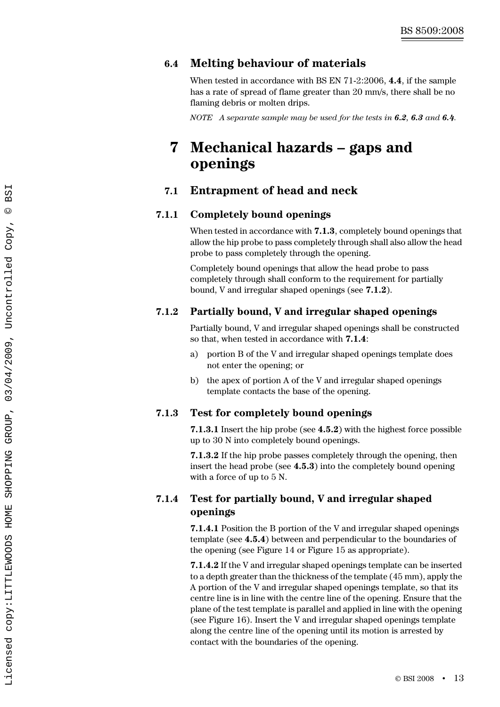## <span id="page-18-1"></span>**6.4 Melting behaviour of materials**

When tested in accordance with BS EN 71-2:2006, **4.4**, if the sample has a rate of spread of flame greater than 20 mm/s, there shall be no flaming debris or molten drips.

*NOTE A separate sample may be used for the tests in [6.2](#page-17-2), [6.3](#page-17-3) and [6.4](#page-18-1) .*

## <span id="page-18-0"></span>**7 Mechanical hazards – gaps and openings**

### **7.1 Entrapment of head and neck**

#### **7.1.1 Completely bound openings**

When tested in accordance with **[7.1.3](#page-18-2)**, completely bound openings that allow the hip probe to pass completely through shall also allow the head probe to pass completely through the opening.

Completely bound openings that allow the head probe to pass completely through shall conform to the requirement for partially bound, V and irregular shaped openings (see **[7.1.2](#page-18-3)**).

#### <span id="page-18-3"></span>**7.1.2 Partially bound, V and irregular shaped openings**

Partially bound, V and irregular shaped openings shall be constructed so that, when tested in accordance with **[7.1.4](#page-18-4)** :

- a) portion B of the V and irregular shaped openings template does not enter the opening; or
- b) the apex of portion A of the V and irregular shaped openings template contacts the base of the opening.

#### <span id="page-18-2"></span>**7.1.3 Test for completely bound openings**

**7.1.3.1** Insert the hip probe (see **[4.5.2](#page-8-1)**) with the highest force possible up to 30 N into completely bound openings.

**7.1.3.2** If the hip probe passes completely through the opening, then insert the head probe (see **[4.5.3](#page-8-2)**) into the completely bound opening with a force of up to 5 N.

### <span id="page-18-4"></span>**7.1.4 Test for partially bound, V and irregular shaped openings**

**7.1.4.1** Position the B portion of the V and irregular shaped openings template (see **[4.5.4](#page-9-2)**) between and perpendicular to the boundaries of the opening (see [Figure 14](#page-19-0) or [Figure 15](#page-19-1) as appropriate).

**7.1.4.2** If the V and irregular shaped openings template can be inserted to a depth greater than the thickness of the template (45 mm), apply the A portion of the V and irregular shaped openings template, so that its centre line is in line with the centre line of the opening. Ensure that the plane of the test template is parallel and applied in line with the opening (see [Figure 16](#page-20-0)). Insert the V and irregular shaped openings template along the centre line of the opening until its motion is arrested by contact with the boundaries of the opening.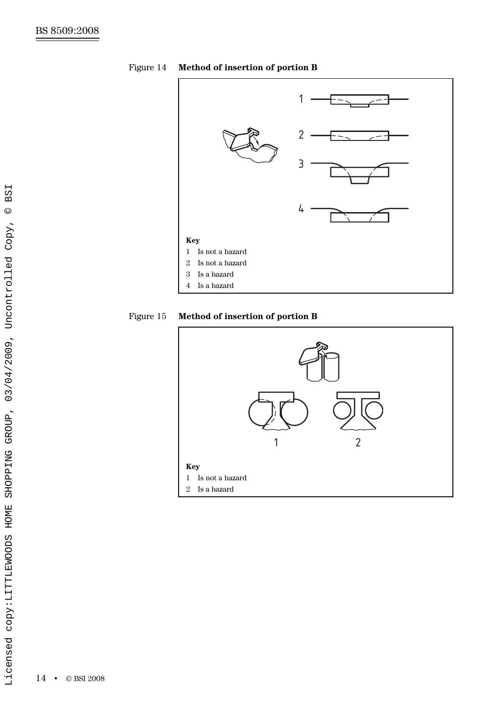<span id="page-19-0"></span>



<span id="page-19-1"></span>Figure 15 **Method of insertion of portion B**

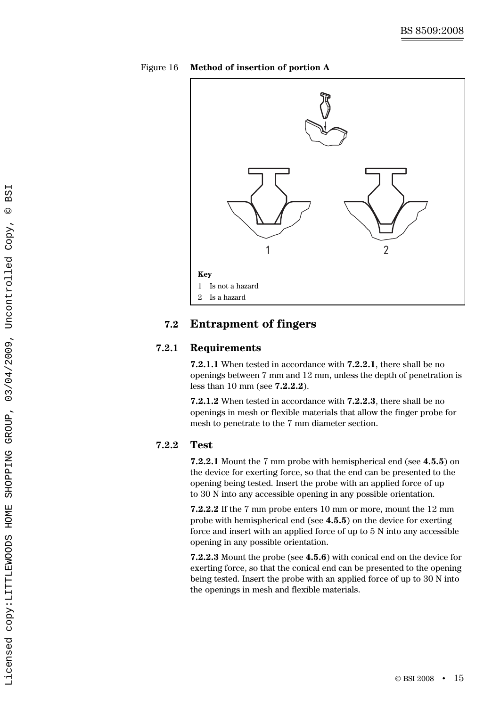#### <span id="page-20-0"></span>Figure 16 **Method of insertion of portion A**



## **7.2 Entrapment of fingers**

### **7.2.1 Requirements**

**7.2.1.1** When tested in accordance with **[7.2.2.1](#page-20-1)**, there shall be no openings between 7 mm and 12 mm, unless the depth of penetration is less than 10 mm (see **[7.2.2.2](#page-20-2)**).

**7.2.1.2** When tested in accordance with **[7.2.2.3](#page-20-3)**, there shall be no openings in mesh or flexible materials that allow the finger probe for mesh to penetrate to the 7 mm diameter section.

#### **7.2.2 Test**

<span id="page-20-1"></span>**7.2.2.1** Mount the 7 mm probe with hemispherical end (see **[4.5.5](#page-9-3)**) on the device for exerting force, so that the end can be presented to the opening being tested. Insert the probe with an applied force of up to 30 N into any accessible opening in any possible orientation.

<span id="page-20-2"></span>**7.2.2.2** If the 7 mm probe enters 10 mm or more, mount the 12 mm probe with hemispherical end (see **[4.5.5](#page-9-3)**) on the device for exerting force and insert with an applied force of up to 5 N into any accessible opening in any possible orientation.

<span id="page-20-3"></span>**7.2.2.3** Mount the probe (see **[4.5.6](#page-10-2)**) with conical end on the device for exerting force, so that the conical end can be presented to the opening being tested. Insert the probe with an applied force of up to 30 N into the openings in mesh and flexible materials.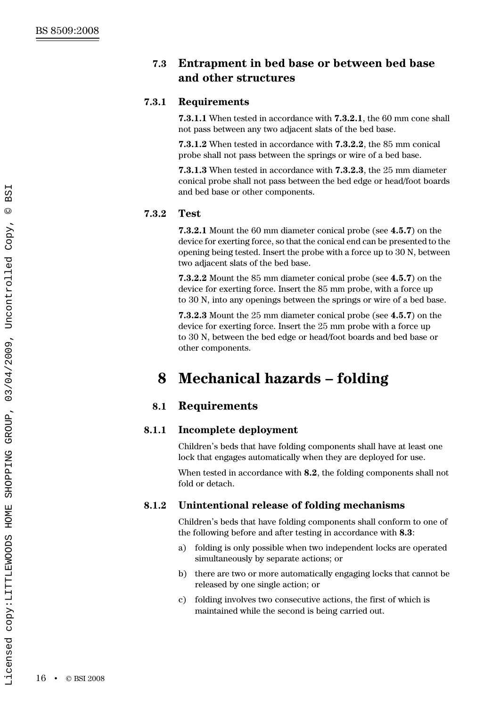## **7.3 Entrapment in bed base or between bed base and other structures**

### **7.3.1 Requirements**

**7.3.1.1** When tested in accordance with **[7.3.2.1](#page-21-1)**, the 60 mm cone shall not pass between any two adjacent slats of the bed base.

**7.3.1.2** When tested in accordance with **[7.3.2.2](#page-21-2)**, the 85 mm conical probe shall not pass between the springs or wire of a bed base.

**7.3.1.3** When tested in accordance with **[7.3.2.3](#page-21-3)**, the 25 mm diameter conical probe shall not pass between the bed edge or head/foot boards and bed base or other components.

### **7.3.2 Test**

<span id="page-21-1"></span>**7.3.2.1** Mount the 60 mm diameter conical probe (see **[4.5.7](#page-10-3)**) on the device for exerting force, so that the conical end can be presented to the opening being tested. Insert the probe with a force up to 30 N, between two adjacent slats of the bed base.

<span id="page-21-2"></span>**7.3.2.2** Mount the 85 mm diameter conical probe (see **[4.5.7](#page-10-3)**) on the device for exerting force. Insert the 85 mm probe, with a force up to 30 N, into any openings between the springs or wire of a bed base.

<span id="page-21-3"></span>**7.3.2.3** Mount the 25 mm diameter conical probe (see **[4.5.7](#page-10-3)**) on the device for exerting force. Insert the 25 mm probe with a force up to 30 N, between the bed edge or head/foot boards and bed base or other components.

## <span id="page-21-0"></span>**8 Mechanical hazards – folding**

## **8.1 Requirements**

### **8.1.1 Incomplete deployment**

Children's beds that have folding components shall have at least one lock that engages automatically when they are deployed for use.

When tested in accordance with **[8.2](#page-22-2)**, the folding components shall not fold or detach.

### **8.1.2 Unintentional release of folding mechanisms**

Children's beds that have folding components shall conform to one of the following before and after testing in accordance with **[8.3](#page-22-3)**:

- a) folding is only possible when two independent locks are operated simultaneously by separate actions; or
- b) there are two or more automatically engaging locks that cannot be released by one single action; or
- c) folding involves two consecutive actions, the first of which is maintained while the second is being carried out.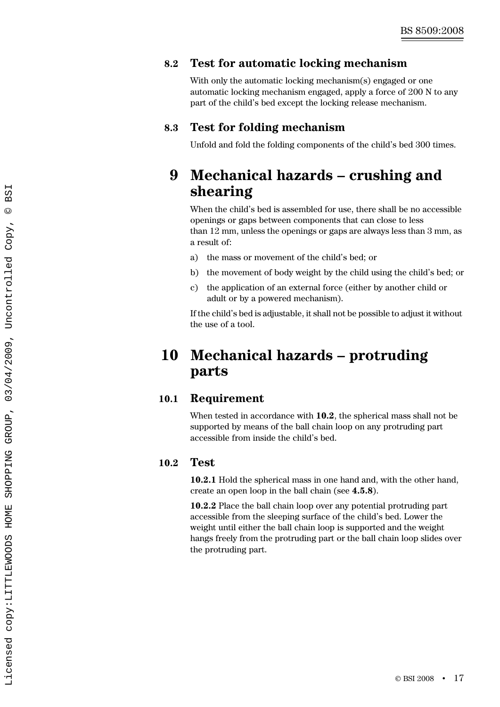### <span id="page-22-2"></span>**8.2 Test for automatic locking mechanism**

With only the automatic locking mechanism(s) engaged or one automatic locking mechanism engaged, apply a force of 200 N to any part of the child's bed except the locking release mechanism.

## <span id="page-22-3"></span>**8.3 Test for folding mechanism**

Unfold and fold the folding components of the child's bed 300 times.

## <span id="page-22-0"></span>**9 Mechanical hazards – crushing and shearing**

When the child's bed is assembled for use, there shall be no accessible openings or gaps between components that can close to less than 12 mm, unless the openings or gaps are always less than 3 mm, as a result of:

- a) the mass or movement of the child's bed; or
- b) the movement of body weight by the child using the child's bed; or
- c) the application of an external force (either by another child or adult or by a powered mechanism).

If the child's bed is adjustable, it shall not be possible to adjust it without the use of a tool.

## <span id="page-22-1"></span>**10 Mechanical hazards – protruding parts**

### **10.1 Requirement**

When tested in accordance with **[10.2](#page-22-4)**, the spherical mass shall not be supported by means of the ball chain loop on any protruding part accessible from inside the child's bed.

### <span id="page-22-4"></span>**10.2 Test**

**10.2.1** Hold the spherical mass in one hand and, with the other hand, create an open loop in the ball chain (see **[4.5.8](#page-11-1)**).

**10.2.2** Place the ball chain loop over any potential protruding part accessible from the sleeping surface of the child's bed. Lower the weight until either the ball chain loop is supported and the weight hangs freely from the protruding part or the ball chain loop slides over the protruding part.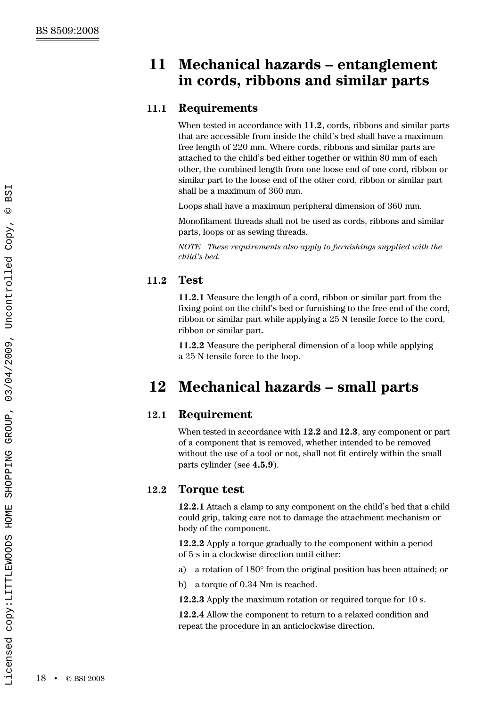## <span id="page-23-0"></span>**11 Mechanical hazards – entanglement in cords, ribbons and similar parts**

## **11.1 Requirements**

When tested in accordance with **[11.2](#page-23-2)**, cords, ribbons and similar parts that are accessible from inside the child's bed shall have a maximum free length of 220 mm. Where cords, ribbons and similar parts are attached to the child's bed either together or within 80 mm of each other, the combined length from one loose end of one cord, ribbon or similar part to the loose end of the other cord, ribbon or similar part shall be a maximum of 360 mm.

Loops shall have a maximum peripheral dimension of 360 mm.

Monofilament threads shall not be used as cords, ribbons and similar parts, loops or as sewing threads.

*NOTE These requirements also apply to furnishings supplied with the child's bed.*

## <span id="page-23-2"></span>**11.2 Test**

**11.2.1** Measure the length of a cord, ribbon or similar part from the fixing point on the child's bed or furnishing to the free end of the cord, ribbon or similar part while applying a 25 N tensile force to the cord, ribbon or similar part.

**11.2.2** Measure the peripheral dimension of a loop while applying a 25 N tensile force to the loop.

## <span id="page-23-1"></span>**12 Mechanical hazards – small parts**

## **12.1 Requirement**

When tested in accordance with **[12.2](#page-23-3)** and **[12.3](#page-24-1)**, any component or part of a component that is removed, whether intended to be removed without the use of a tool or not, shall not fit entirely within the small parts cylinder (see **[4.5.9](#page-12-2)**).

## <span id="page-23-3"></span>**12.2 Torque test**

**12.2.1** Attach a clamp to any component on the child's bed that a child could grip, taking care not to damage the attachment mechanism or body of the component.

**12.2.2** Apply a torque gradually to the component within a period of 5 s in a clockwise direction until either:

a) a rotation of 180° from the original position has been attained; or

b) a torque of 0.34 Nm is reached.

**12.2.3** Apply the maximum rotation or required torque for 10 s.

**12.2.4** Allow the component to return to a relaxed condition and repeat the procedure in an anticlockwise direction.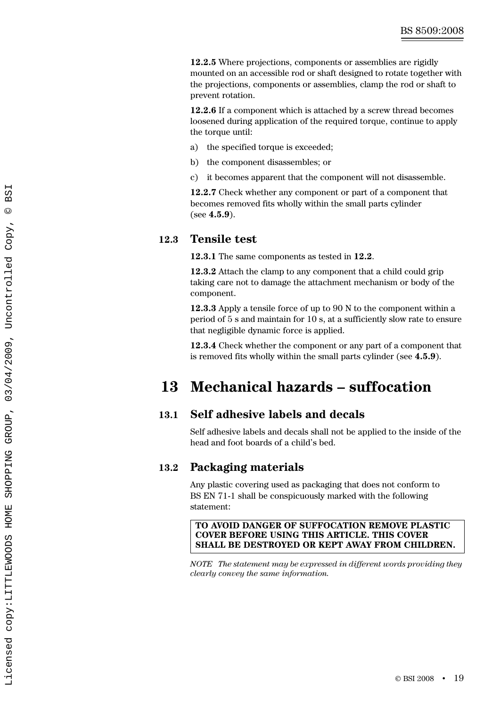**12.2.5** Where projections, components or assemblies are rigidly mounted on an accessible rod or shaft designed to rotate together with the projections, components or assemblies, clamp the rod or shaft to prevent rotation.

**12.2.6** If a component which is attached by a screw thread becomes loosened during application of the required torque, continue to apply the torque until:

- a) the specified torque is exceeded;
- b) the component disassembles; or
- c) it becomes apparent that the component will not disassemble.

**12.2.7** Check whether any component or part of a component that becomes removed fits wholly within the small parts cylinder (see **[4.5.9](#page-12-2)**).

### <span id="page-24-1"></span>**12.3 Tensile test**

**12.3.1** The same components as tested in **[12.2](#page-23-3)** .

**12.3.2** Attach the clamp to any component that a child could grip taking care not to damage the attachment mechanism or body of the component.

**12.3.3** Apply a tensile force of up to 90 N to the component within a period of 5 s and maintain for 10 s, at a sufficiently slow rate to ensure that negligible dynamic force is applied.

**12.3.4** Check whether the component or any part of a component that is removed fits wholly within the small parts cylinder (see **[4.5.9](#page-12-2)**).

## <span id="page-24-0"></span>**13 Mechanical hazards – suffocation**

## **13.1 Self adhesive labels and decals**

Self adhesive labels and decals shall not be applied to the inside of the head and foot boards of a child's bed.

## **13.2 Packaging materials**

Any plastic covering used as packaging that does not conform to BS EN 71-1 shall be conspicuously marked with the following statement:

**TO AVOID DANGER OF SUFFOCATION REMOVE PLASTIC COVER BEFORE USING THIS ARTICLE. THIS COVER SHALL BE DESTROYED OR KEPT AWAY FROM CHILDREN.**

*NOTE The statement may be expressed in different words providing they clearly convey the same information.*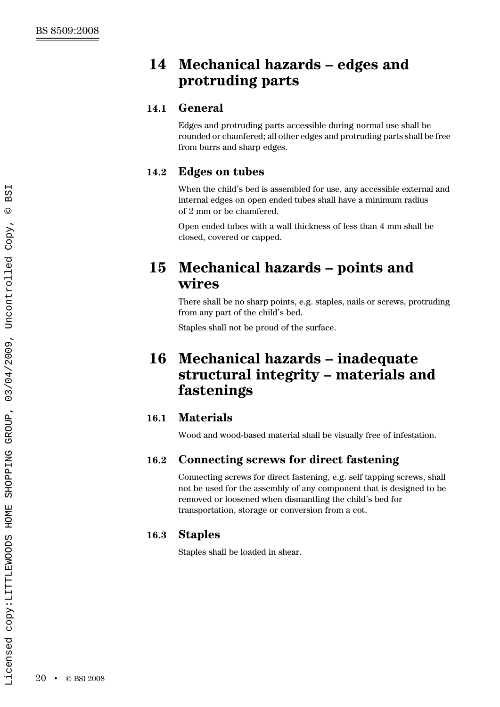## <span id="page-25-0"></span>**14 Mechanical hazards – edges and protruding parts**

## **14.1 General**

Edges and protruding parts accessible during normal use shall be rounded or chamfered; all other edges and protruding parts shall be free from burrs and sharp edges.

## **14.2 Edges on tubes**

When the child's bed is assembled for use, any accessible external and internal edges on open ended tubes shall have a minimum radius of 2 mm or be chamfered.

Open ended tubes with a wall thickness of less than 4 mm shall be closed, covered or capped.

## <span id="page-25-1"></span>**15 Mechanical hazards – points and wires**

There shall be no sharp points, e.g. staples, nails or screws, protruding from any part of the child's bed.

Staples shall not be proud of the surface.

## <span id="page-25-2"></span>**16 Mechanical hazards – inadequate structural integrity – materials and fastenings**

## **16.1 Materials**

Wood and wood-based material shall be visually free of infestation.

## **16.2 Connecting screws for direct fastening**

Connecting screws for direct fastening, e.g. self tapping screws, shall not be used for the assembly of any component that is designed to be removed or loosened when dismantling the child's bed for transportation, storage or conversion from a cot.

## **16.3 Staples**

Staples shall be loaded in shear.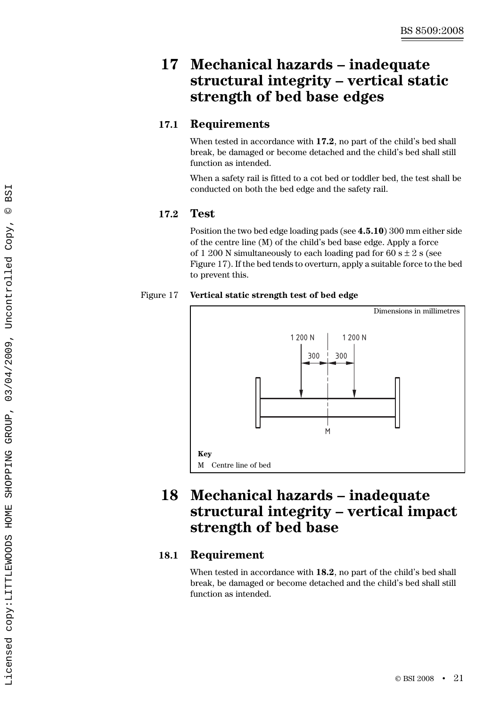## <span id="page-26-0"></span>**17 Mechanical hazards – inadequate structural integrity – vertical static strength of bed base edges**

## **17.1 Requirements**

When tested in accordance with **[17.2](#page-26-3)**, no part of the child's bed shall break, be damaged or become detached and the child's bed shall still function as intended.

When a safety rail is fitted to a cot bed or toddler bed, the test shall be conducted on both the bed edge and the safety rail.

## <span id="page-26-3"></span>**17.2 Test**

Position the two bed edge loading pads (see **[4.5.10](#page-13-1)**) 300 mm either side of the centre line (M) of the child's bed base edge. Apply a force of 1 200 N simultaneously to each loading pad for  $60 s \pm 2 s$  (see [Figure 17\)](#page-26-2). If the bed tends to overturn, apply a suitable force to the bed to prevent this.



#### <span id="page-26-2"></span>Figure 17 **Vertical static strength test of bed edge**

## <span id="page-26-1"></span>**18 Mechanical hazards – inadequate structural integrity – vertical impact strength of bed base**

## **18.1 Requirement**

When tested in accordance with **[18.2](#page-27-2)**, no part of the child's bed shall break, be damaged or become detached and the child's bed shall still function as intended.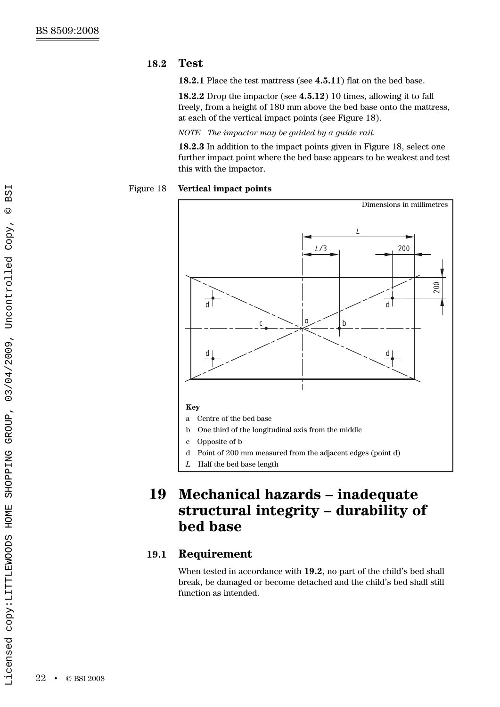### <span id="page-27-2"></span>**18.2 Test**

**18.2.1** Place the test mattress (see **[4.5.11](#page-13-2)**) flat on the bed base.

**18.2.2** Drop the impactor (see **[4.5.12](#page-13-3)**) 10 times, allowing it to fall freely, from a height of 180 mm above the bed base onto the mattress, at each of the vertical impact points (see [Figure 18](#page-27-1)).

*NOTE The impactor may be guided by a guide rail.*

**18.2.3** In addition to the impact points given in [Figure 18](#page-27-1), select one further impact point where the bed base appears to be weakest and test this with the impactor.

#### <span id="page-27-1"></span>Figure 18 **Vertical impact points**



## <span id="page-27-0"></span>**19 Mechanical hazards – inadequate structural integrity – durability of bed base**

### **19.1 Requirement**

When tested in accordance with **[19.2](#page-28-2)**, no part of the child's bed shall break, be damaged or become detached and the child's bed shall still function as intended.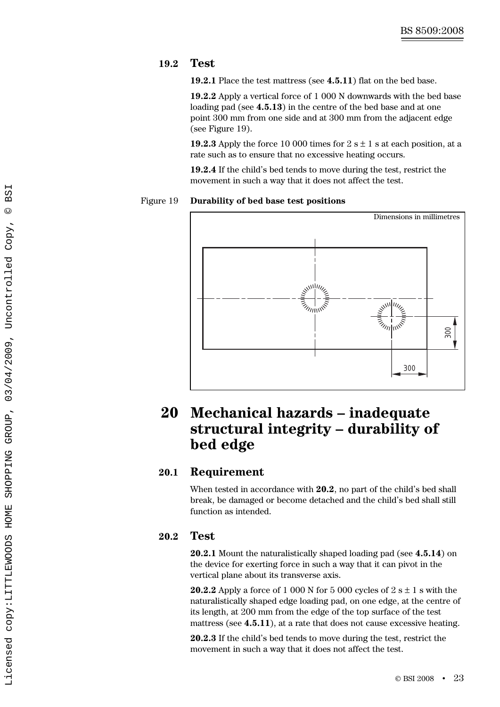### <span id="page-28-2"></span>**19.2 Test**

**19.2.1** Place the test mattress (see **[4.5.11](#page-13-2)**) flat on the bed base.

**19.2.2** Apply a vertical force of 1 000 N downwards with the bed base loading pad (see **[4.5.13](#page-15-2)**) in the centre of the bed base and at one point 300 mm from one side and at 300 mm from the adjacent edge (see [Figure 19](#page-28-1)).

**19.2.3** Apply the force 10 000 times for  $2 s \pm 1 s$  at each position, at a rate such as to ensure that no excessive heating occurs.

**19.2.4** If the child's bed tends to move during the test, restrict the movement in such a way that it does not affect the test.

#### <span id="page-28-1"></span>Figure 19 **Durability of bed base test positions**



## <span id="page-28-0"></span>**20 Mechanical hazards – inadequate structural integrity – durability of bed edge**

#### **20.1 Requirement**

When tested in accordance with **[20.2](#page-28-3)** , no part of the child's bed shall break, be damaged or become detached and the child's bed shall still function as intended.

### <span id="page-28-3"></span>**20.2 Test**

**20.2.1** Mount the naturalistically shaped loading pad (see **[4.5.14](#page-16-1)**) on the device for exerting force in such a way that it can pivot in the vertical plane about its transverse axis.

**20.2.2** Apply a force of 1 000 N for 5 000 cycles of  $2 s \pm 1 s$  with the naturalistically shaped edge loading pad, on one edge, at the centre of its length, at 200 mm from the edge of the top surface of the test mattress (see **[4.5.11](#page-13-2)**), at a rate that does not cause excessive heating.

**20.2.3** If the child's bed tends to move during the test, restrict the movement in such a way that it does not affect the test.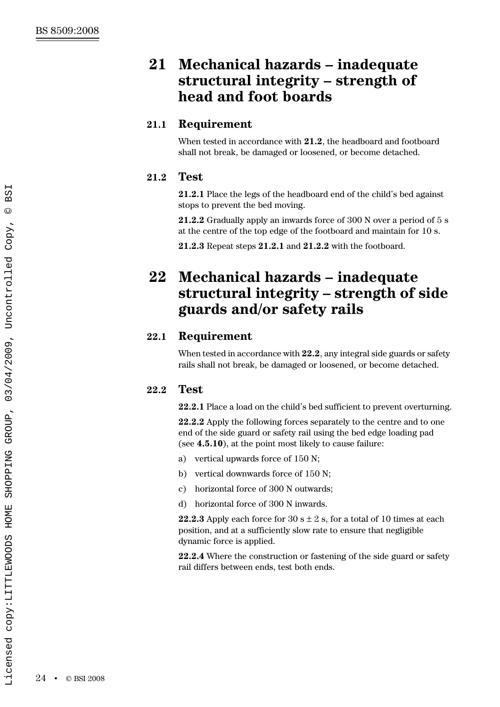## <span id="page-29-0"></span>**21 Mechanical hazards – inadequate structural integrity – strength of head and foot boards**

## **21.1 Requirement**

When tested in accordance with **[21.2](#page-29-2)**, the headboard and footboard shall not break, be damaged or loosened, or become detached.

## <span id="page-29-2"></span>**21.2 Test**

<span id="page-29-3"></span>**21.2.1** Place the legs of the headboard end of the child's bed against stops to prevent the bed moving.

<span id="page-29-4"></span>**21.2.2** Gradually apply an inwards force of 300 N over a period of 5 s at the centre of the top edge of the footboard and maintain for 10 s.

**21.2.3** Repeat steps **[21.2.1](#page-29-3)** and **[21.2.2](#page-29-4)** with the footboard.

## <span id="page-29-1"></span>**22 Mechanical hazards – inadequate structural integrity – strength of side guards and/or safety rails**

## **22.1 Requirement**

When tested in accordance with **[22.2](#page-29-5)**, any integral side guards or safety rails shall not break, be damaged or loosened, or become detached.

## <span id="page-29-5"></span>**22.2 Test**

**22.2.1** Place a load on the child's bed sufficient to prevent overturning.

**22.2.2** Apply the following forces separately to the centre and to one end of the side guard or safety rail using the bed edge loading pad (see **[4.5.10](#page-13-1)**), at the point most likely to cause failure:

- a) vertical upwards force of 150 N;
- b) vertical downwards force of 150 N;
- c) horizontal force of 300 N outwards;
- d) horizontal force of 300 N inwards.

**22.2.3** Apply each force for  $30 s \pm 2 s$ , for a total of 10 times at each position, and at a sufficiently slow rate to ensure that negligible dynamic force is applied.

**22.2.4** Where the construction or fastening of the side guard or safety rail differs between ends, test both ends.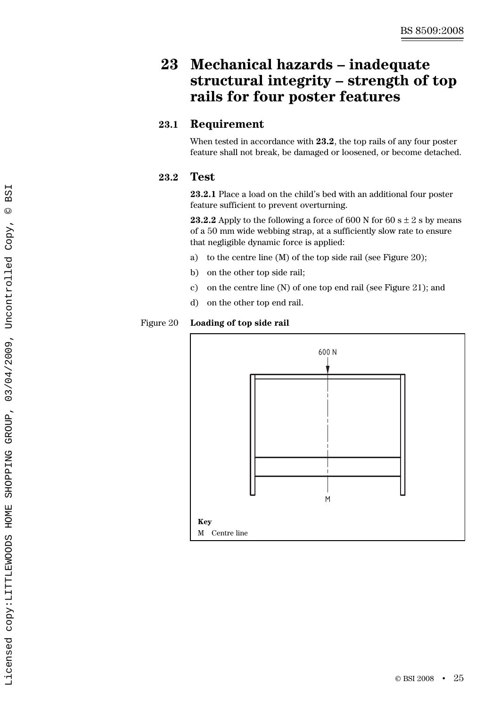## <span id="page-30-0"></span>**23 Mechanical hazards – inadequate structural integrity – strength of top rails for four poster features**

## **23.1 Requirement**

When tested in accordance with **[23.2](#page-30-2)**, the top rails of any four poster feature shall not break, be damaged or loosened, or become detached.

### <span id="page-30-2"></span>**23.2 Test**

**23.2.1** Place a load on the child's bed with an additional four poster feature sufficient to prevent overturning.

**23.2.2** Apply to the following a force of  $600 \text{ N}$  for  $60 \text{ s} \pm 2 \text{ s}$  by means of a 50 mm wide webbing strap, at a sufficiently slow rate to ensure that negligible dynamic force is applied:

- a) to the centre line (M) of the top side rail (see [Figure 20](#page-30-1));
- b) on the other top side rail;
- c) on the centre line (N) of one top end rail (see [Figure 21](#page-31-1)); and
- d) on the other top end rail.

#### <span id="page-30-1"></span>Figure 20 **Loading of top side rail**

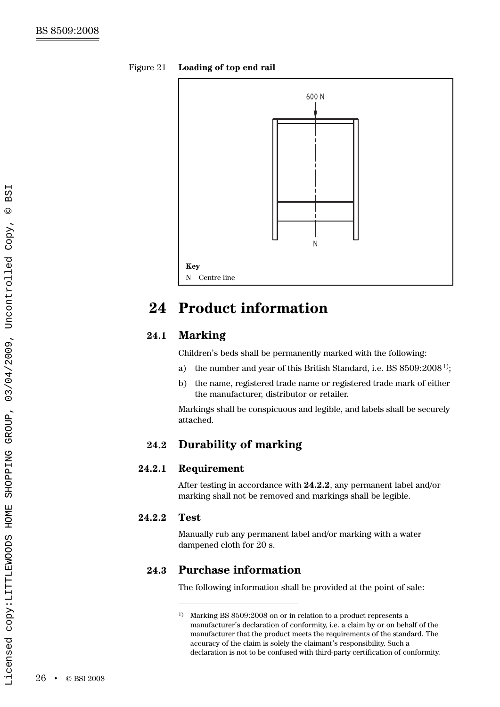<span id="page-31-1"></span>Figure 21 **Loading of top end rail**



## <span id="page-31-0"></span>**24 Product information**

## **24.1 Marking**

Children's beds shall be permanently marked with the following:

- a) the number and year of this British Standard, i.e. BS 8509:20081);
- b) the name, registered trade name or registered trade mark of either the manufacturer, distributor or retailer.

Markings shall be conspicuous and legible, and labels shall be securely attached.

## **24.2 Durability of marking**

#### **24.2.1 Requirement**

After testing in accordance with **[24.2.2](#page-31-2)**, any permanent label and/or marking shall not be removed and markings shall be legible.

#### <span id="page-31-2"></span>**24.2.2 Test**

Manually rub any permanent label and/or marking with a water dampened cloth for 20 s.

## **24.3 Purchase information**

The following information shall be provided at the point of sale:

<sup>1)</sup> Marking BS 8509:2008 on or in relation to a product represents a manufacturer's declaration of conformity, i.e. a claim by or on behalf of the manufacturer that the product meets the requirements of the standard. The accuracy of the claim is solely the claimant's responsibility. Such a declaration is not to be confused with third-party certification of conformity.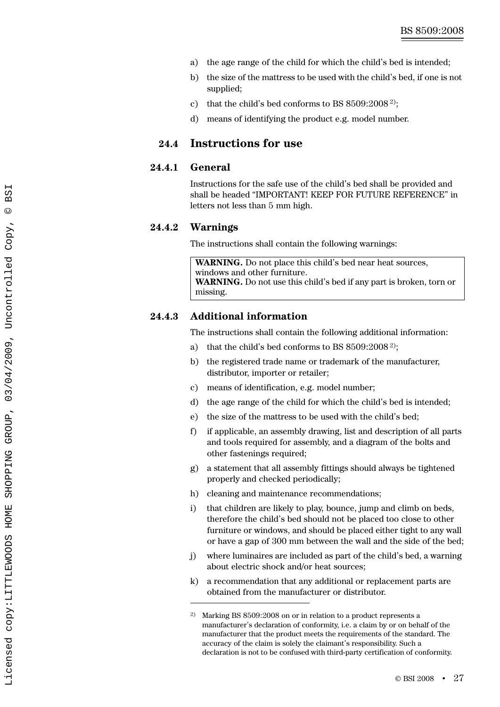- a) the age range of the child for which the child's bed is intended;
- b) the size of the mattress to be used with the child's bed, if one is not supplied;
- c) that the child's bed conforms to BS  $8509:2008^2$ ;
- d) means of identifying the product e.g. model number.

### **24.4 Instructions for use**

#### **24.4.1 General**

Instructions for the safe use of the child's bed shall be provided and shall be headed "IMPORTANT! KEEP FOR FUTURE REFERENCE" in letters not less than 5 mm high.

#### **24.4.2 Warnings**

The instructions shall contain the following warnings:

**WARNING.** Do not place this child's bed near heat sources, windows and other furniture. **WARNING.** Do not use this child's bed if any part is broken, torn or missing.

### **24.4.3 Additional information**

The instructions shall contain the following additional information:

- a) that the child's bed conforms to BS  $8509:2008^2$ ;
- b) the registered trade name or trademark of the manufacturer, distributor, importer or retailer;
- c) means of identification, e.g. model number;
- d) the age range of the child for which the child's bed is intended;
- e) the size of the mattress to be used with the child's bed;
- f) if applicable, an assembly drawing, list and description of all parts and tools required for assembly, and a diagram of the bolts and other fastenings required;
- g) a statement that all assembly fittings should always be tightened properly and checked periodically;
- h) cleaning and maintenance recommendations;
- i) that children are likely to play, bounce, jump and climb on beds, therefore the child's bed should not be placed too close to other furniture or windows, and should be placed either tight to any wall or have a gap of 300 mm between the wall and the side of the bed;
- j) where luminaires are included as part of the child's bed, a warning about electric shock and/or heat sources;
- k) a recommendation that any additional or replacement parts are obtained from the manufacturer or distributor.

<sup>&</sup>lt;sup>2)</sup> Marking BS  $8509:2008$  on or in relation to a product represents a manufacturer's declaration of conformity, i.e. a claim by or on behalf of the manufacturer that the product meets the requirements of the standard. The accuracy of the claim is solely the claimant's responsibility. Such a declaration is not to be confused with third-party certification of conformity.